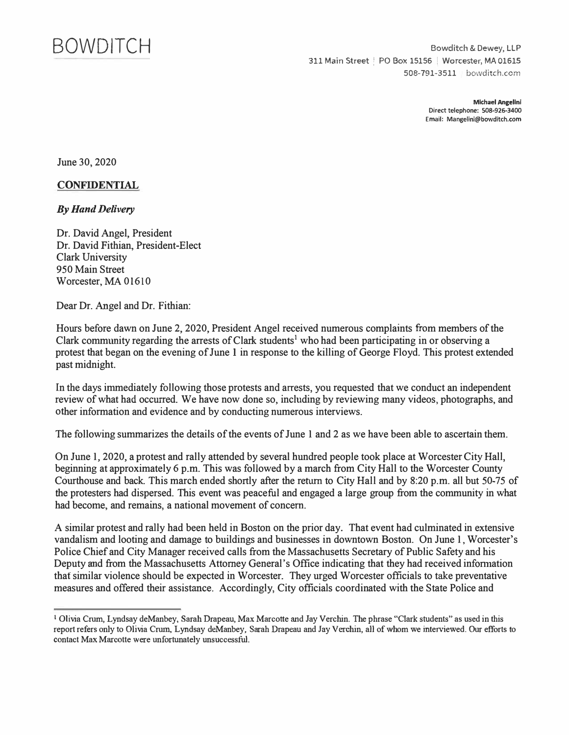

Bowditch & Dewey, LLP 311 Main Street ! PO Box 15156 ! Worcester, MA 01615 508-791-3511 bowditch.com

> **Michael Angelini Direct telephone: 508-926-3400 Email: Mangelini@bowditch.com**

June 30, 2020

## **CONFIDENTIAL**

## *By Hand Delivery*

Dr. David Angel, President Dr. David Fithian, President-Elect Clark University 950 Main Street Worcester, MA 01610

Dear Dr. Angel and Dr. Fithian:

Hours before dawn on June 2, 2020, President Angel received numerous complaints from members of the Clark community regarding the arrests of Clark students<sup>1</sup> who had been participating in or observing a protest that began on the evening of June I in response to the killing of George Floyd. This protest extended past midnight.

In the days immediately following those protests and arrests, you requested that we conduct an independent review of what had occurred. We have now done so, including by reviewing many videos, photographs, and other information and evidence and by conducting numerous interviews.

The following summarizes the details of the events of June 1 and 2 as we have been able to ascertain them.

On June 1, 2020, a protest and rally attended by several hundred people took place at Worcester City Hall, beginning at approximately 6 p.m. This was followed by a march from City Hall to the Worcester County Courthouse and back. This march ended shortly after the return to City Hall and by 8:20 p.m. all but 50-75 of the protesters had dispersed. This event was peacef<sup>u</sup> l and engaged a large group from the community in what had become, and remains, a national movement of concern.

A similar protest and rally had been held in Boston on the prior day. That event had culminated in extensive vandalism and looting and damage to buildings and businesses in downtown Boston. On June 1, Worcester's Police Chief and City Manager received calls from the Massachusetts Secretary of Public Safety and his Deputy and from the Massachusetts Attorney General's Office indicating that they had received infonnation that similar violence should be expected in Worcester. They urged Worcester officials to take preventative measures and offered their assistance. Accordingly, City officials coordinated with the State Police and

<sup>1</sup>Olivia Crum, Lyndsay deManbey, Sarah Drapeau, Max Marcotte and Jay Verchin. The phrase "Clark students" as used in this report refers only to Olivia Crum, Lyndsay deManbey, Sarah Drapeau and Jay Verchin, all of whom we interviewed. Our efforts to contact Max Marcotte were unfortunately unsuccessful.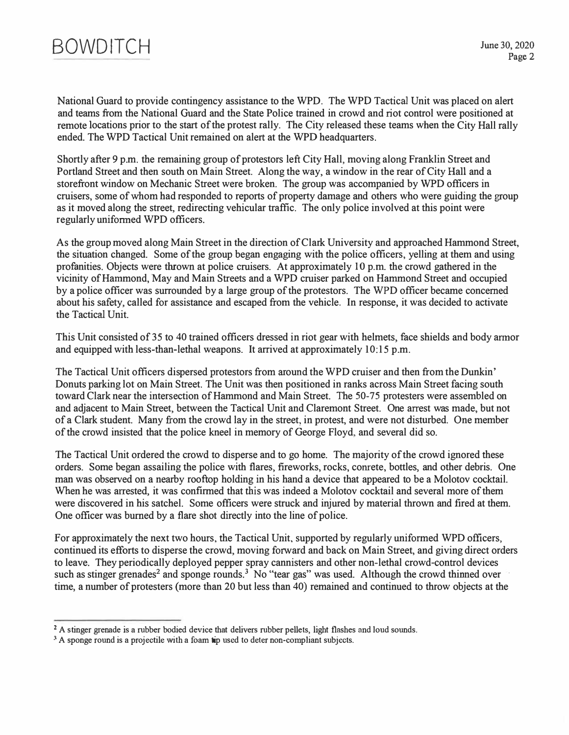

National Guard to provide contingency assistance to the WPD. The WPD Tactical Unit was placed on alert and teams from the National Guard and the State Police trained in crowd and riot control were positioned at remote locations prior to the start of the protest rally. The City released these teams when the City Hall rally ended. The WPD Tactical Unit remained on alert at the WPD headquarters.

Shortly after 9 p.m. the remaining group of protestors left City Hall, moving along Franklin Street and Portland Street and then south on Main Street. Along the way, a window in the rear of City Hall and a storefront window on Mechanic Street were broken. The group was accompanied by WPD officers in cruisers, some of whom had responded to reports of property damage and others who were guiding the group as it moved along the street, redirecting vehicular traffic. The only police involved at this point were regularly uniformed WPD officers.

As the group moved along Main Street in the direction of Clark University and approached Hammond Street, the situation changed. Some of the group began engaging with the police officers, yelling at them and using profanities. Objects were thrown at police cruisers. At approximately IO p.m. the crowd gathered in the vicinity of Hammond, May and Main Streets and a WPD cruiser parked on Hammond Street and occupied by a police officer was surrounded by a large group of the protestors. The WPD officer became concerned about his safety, called for assistance and escaped from the vehicle. In response, it was decided to activate the Tactical Unit.

This Unit consisted of 35 to 40 trained officers dressed in riot gear with helmets, face shields and body armor and equipped with less-than-lethal weapons. It arrived at approximately 10:15 p.m.

The Tactical Unit officers dispersed protestors from around the WPD cruiser and then from the Dunkin' Donuts parking lot on Main Street. The Unit was then positioned in ranks across Main Street facing south toward Clark near the intersection of Hammond and Main Street. The 50-75 protesters were assembled on and adjacent to Main Street, between the Tactical Unit and Claremont Street. One arrest was made, but not of a Clark student. Many from the crowd lay in the street, in protest, and were not disturbed. One member of the crowd insisted that the police kneel in memory of George Floyd, and several did so.

The Tactical Unit ordered the crowd to disperse and to go home. The majority of the crowd ignored these orders. Some began assailing the police with flares, fireworks, rocks, comete, bottles, and other debris. One man was observed on a nearby rooftop holding in his hand a device that appeared to be a Molotov cocktail. When he was arrested, it was confirmed that this was indeed a Molotov cocktail and several more of them were discovered in his satchel. Some officers were struck and injured by material thrown and fired at them. One officer was burned by a flare shot directly into the line of police.

For approximately the next two hours, the Tactical Unit, supported by regularly uniformed WPD officers, continued its efforts to disperse the crowd, moving forward and back on Main Street, and giving direct orders to leave. They periodically deployed pepper spray cannisters and other non-lethal crowd-control devices such as stinger grenades<sup>2</sup> and sponge rounds.<sup>3</sup> No "tear gas" was used. Although the crowd thinned over time, a number of protesters (more than 20 but less than 40) remained and continued to throw objects at the

<sup>&</sup>lt;sup>2</sup> A stinger grenade is a rubber bodied device that delivers rubber pellets, light flashes and loud sounds.

**<sup>3</sup> A sponge round is a projectile with a foam tip used to deter non-compliant subjects.**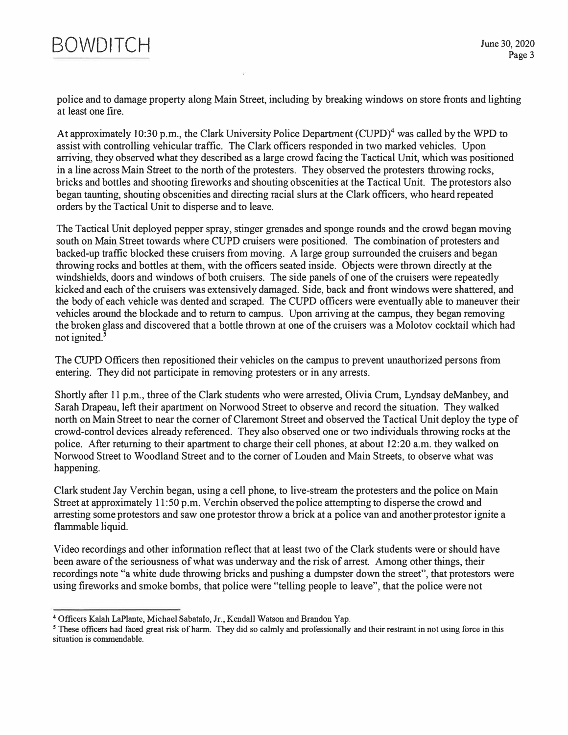

*police and to damage property along Main Street, including by breaking windows on store fronts and lighting at least one fire.* 

*At approximately 10:30 p.m., the Clark University Police Department (CUPD)***<sup>4</sup>***was called by the WPD to assist with controlling vehicular traffic. The Clark officers responded in two marked vehicles. Upon*  arriving, they observed what they described as a large crowd facing the Tactical Unit, which was positioned *in a line across Main Street to the north of the protesters. They observed the protesters throwing rocks, bricks and bottles and shooting fireworks and shouting obscenities at the Tactical Unit. The protestors also began taunting, shouting obscenities and directing racial slurs at the Clark officers, who heard repeated orders by the Tactical Unit to disperse and to leave.* 

*The Tactical Unit deployed pepper spray, stinger grenades and sponge rounds and the crowd began movi*ng *south on Main Street towards where CUPD cruisers were positioned. The combination of protesters and backed-up traffic blocked these cruisers from moving. A large group surrounded the cruisers and began throwing rocks and bottles at them, with the officers seated inside. Objects were thrown directly at the windshields, doors and windows of both cruisers. The side panels of one of the cruisers were repeatedly kicked and each of the cruisers was extensively damaged. Side, back and front windows were shattered, and the body of each vehicle was dented and scraped. The CUPD officers were eventually able to maneuver their vehicles around the blockade and to return to campus. Upon arriving at the campus, they began removing the broken glass and discovered that a bottle thrown at one of the cruisers was a Molotov cocktail which had not ignited. <sup>5</sup>*

*The CUPD Officers then repositioned their vehicles on the campus to prevent unauthorized persons from entering. They did not participate in removing protesters or in any arrests.* 

*Shortly after 11 p.m., three of the Clark students who were arrested, Olivia Crum, Lyndsay deManbey, and Sarah Drapeau, left their apartment on Norwood Street to observe and record the situation. They walked north on Main Street to near the corner of Claremont Street and observed the Tactical Unit deploy the type of crowd-control devices already referenced. They also observed one or two individuals throwing rocks at the police. After returning to their apartment to charge their cell phones, at about 12:20 a.m. they walked on Norwood Street to Woodland Street and to the comer of Louden and Main Streets, to observe what was happening.* 

*Clark student Jay Verchin began, using a cell phone, to live-stream the protesters and the police on Main*  Street at approximately 11:50 p.m. Verchin observed the police attempting to disperse the crowd and *arresting some protestors and saw one protestor throw a brick at a police van and another protestor ignite a flammable liquid.* 

*Video recordings and other infonnation reflect that at least two of the Clark students were or should have been aware of the seriousness of what was underway and the risk of arrest. Among other things, their recordings note "a white dude throwing bricks and pushing a dumpster down the street", that protestors were using fireworks and smoke bombs, that police were "telling people to leave"., that the police were not* 

**<sup>4</sup>**Officers Kalah LaPlante, Michael Sabatalo, Jr., Kendall Watson and Brandon Yap.

*<sup>5</sup>* These officers had faced great risk of harm. They did so calmly and professionally and their restraint in not using force in this situation is commendable.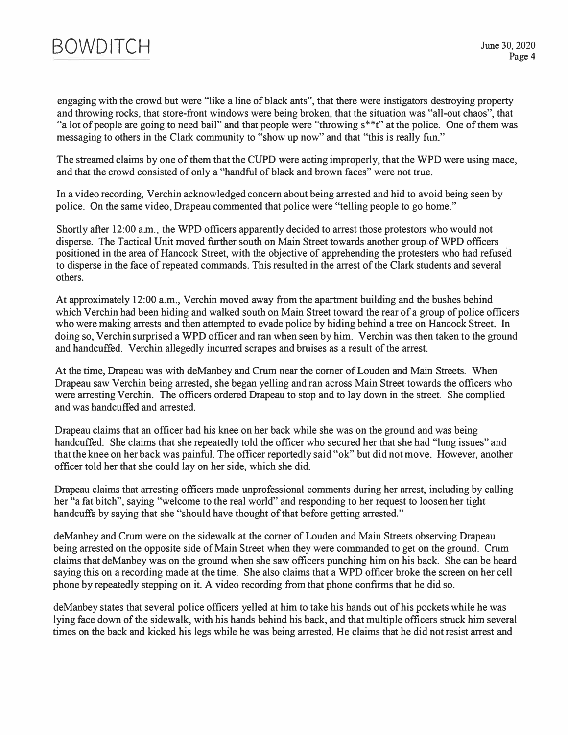

engaging with the crowd but were "like a line of black ants", that there were instigators destroying property and throwing rocks, that store-front windows were being broken, that the situation was "all-out chaos", that "a lot of people are going to need bail" and that people were "throwing s\*\*t" at the police. One of them was messaging to others in the Clark community to "show up now" and that "this is really fun."

The streamed claims by one of them that the CUPD were acting improperly, that the WPD were using mace, and that the crowd consisted of only a "handful of black and brown faces" were not true.

In a video recording, Verchin acknowledged concern about being arrested and hid to avoid being seen by police. On the same video, Drapeau commented that police were "telling people to go home."

Shortly after 12:00 a.m., the WPD officers apparently decided to arrest those protestors who would not disperse. The Tactical Unit moved further south on Main Street towards another group of WPD officers positioned in the area of Hancock Street, with the objective of apprehending the protesters who had refused to disperse in the face of repeated commands. This resulted in the arrest of the Clark students and several others.

At approximately 12:00 a.m., Verchin moved away from the apartment building and the bushes behind which Verchin had been hiding and walked south on Main Street toward the rear of a group of police officers who were making arrests and then attempted to evade police by hiding behind a tree on Hancock Street. In doing so, Verchin surprised a WPD officer and ran when seen by him. Verchin was then taken to the ground and handcuffed. Verchin allegedly incurred scrapes and brnises as a result of the arrest.

At the time, Drapeau was with deManbey and Crum near the corner of Louden and Main Streets. When Drapeau saw Verchin being arrested., she began yelling and ran across Main Street towards the officers who were arresting Verchin. The officers ordered Drapeau to stop and to lay down in the street. She complied and was handcuffed and arrested.

Drapeau claims that an officer had his knee on her back while she was on the ground and was being handcuffed. She claims that she repeatedly told the officer who secured her that she had "lung issues" and that the knee on her back was painful. The officer reportedly said "ok" but did not move. However, another officer told her that she could lay on her side, which she did.

Drapeau claims that arresting officers made unprofessional comments during her arrest, including by calling her "a fat bitch", saying "welcome to the real world" and responding to her request to loosen her tight handcuffs by saying that she "should have thought of that before getting arrested."

deManbey and Crum were on the sidewalk at the corner of Louden and Main Streets observing Drapeau being arrested on the opposite side of Main Street when they were commanded to get on the ground. Crum claims that deManbey was on the ground when she saw officers punching him on his back. She can be heard saying this on a recording made at the time. She also claims that a WPD officer broke the screen on her cell phone by repeatedly stepping on it. A video recording from that phone confirms that he did so.

deManbey states that several police officers yelled at him to take his hands out of his pockets while he was lying face down of the sidewalk, with his hands behind his back, and that multiple officers struck him several times on the back and kicked his legs while he was being arrested. He claims that he did not resist arrest and